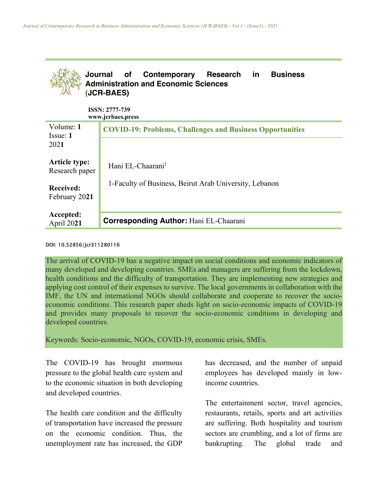

## DOI: 10.52856/jcr311280116

The arrival of COVID-19 has a negative impact on social conditions and economic indicators of many developed and developing countries. SMEs and managers are suffering from the lockdown, health conditions and the difficulty of transportation. They are implementing new strategies and applying cost control of their expenses to survive. The local governments in collaboration with the IMF, the UN and international NGOs should collaborate and cooperate to recover the socioeconomic conditions. This research paper sheds light on socio-economic impacts of COVID-19 and provides many proposals to recover the socio-economic conditions in developing and developed countries.

Keywords: Socio-economic, NGOs, COVID-19, economic crisis, SMEs.

The COVID-19 has brought enormous pressure to the global health care system and to the economic situation in both developing and developed countries.

The health care condition and the difficulty of transportation have increased the pressure on the economic condition. Thus, the unemployment rate has increased, the GDP has decreased, and the number of unpaid employees has developed mainly in lowincome countries.

The entertainment sector, travel agencies, restaurants, retails, sports and art activities are suffering. Both hospitality and tourism sectors are crumbling, and a lot of firms are bankrupting. The global trade and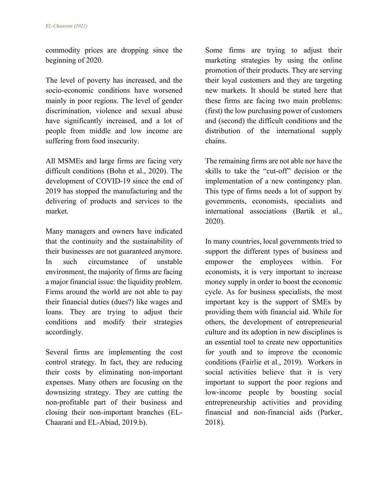commodity prices are dropping since the beginning of 2020.

The level of poverty has increased, and the socio-economic conditions have worsened mainly in poor regions. The level of gender discrimination, violence and sexual abuse have significantly increased, and a lot of people from middle and low income are suffering from food insecurity.

All MSMEs and large firms are facing very difficult conditions (Bohn et al., 2020). The development of COVID-19 since the end of 2019 has stopped the manufacturing and the delivering of products and services to the market.

Many managers and owners have indicated that the continuity and the sustainability of their businesses are not guaranteed anymore. In such circumstance of unstable environment, the majority of firms are facing a major financial issue: the liquidity problem. Firms around the world are not able to pay their financial duties (dues?) like wages and loans. They are trying to adjust their conditions and modify their strategies accordingly.

Several firms are implementing the cost control strategy. In fact, they are reducing their costs by eliminating non-important expenses. Many others are focusing on the downsizing strategy. They are cutting the non-profitable part of their business and closing their non-important branches (EL-Chaarani and EL-Abiad, 2019.b).

Some firms are trying to adjust their marketing strategies by using the online promotion of their products. They are serving their loyal customers and they are targeting new markets. It should be stated here that these firms are facing two main problems: (first) the low purchasing power of customers and (second) the difficult conditions and the distribution of the international supply chains.

The remaining firms are not able nor have the skills to take the "cut-off" decision or the implementation of a new contingency plan. This type of firms needs a lot of support by governments, economists, specialists and international associations (Bartik et al., 2020).

In many countries, local governments tried to support the different types of business and empower the employees within. For economists, it is very important to increase money supply in order to boost the economic cycle. As for business specialists, the most important key is the support of SMEs by providing them with financial aid. While for others, the development of entrepreneurial culture and its adoption in new disciplines is an essential tool to create new opportunities for youth and to improve the economic conditions (Fairlie et al., 2019). Workers in social activities believe that it is very important to support the poor regions and low-income people by boosting social entrepreneurship activities and providing financial and non-financial aids (Parker, 2018).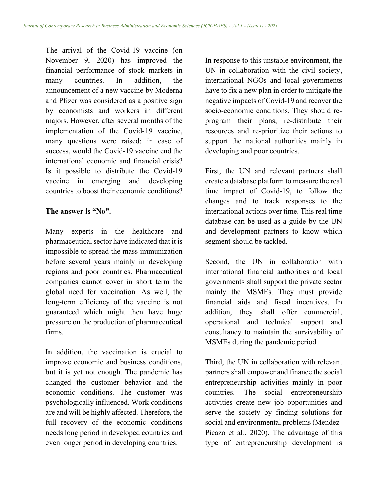The arrival of the Covid-19 vaccine (on November 9, 2020) has improved the financial performance of stock markets in many countries. In addition, the announcement of a new vaccine by Moderna and Pfizer was considered as a positive sign by economists and workers in different majors. However, after several months of the implementation of the Covid-19 vaccine, many questions were raised: in case of success, would the Covid-19 vaccine end the international economic and financial crisis? Is it possible to distribute the Covid-19 vaccine in emerging and developing countries to boost their economic conditions?

## **The answer is "No".**

Many experts in the healthcare and pharmaceutical sector have indicated that it is impossible to spread the mass immunization before several years mainly in developing regions and poor countries. Pharmaceutical companies cannot cover in short term the global need for vaccination. As well, the long-term efficiency of the vaccine is not guaranteed which might then have huge pressure on the production of pharmaceutical firms.

In addition, the vaccination is crucial to improve economic and business conditions, but it is yet not enough. The pandemic has changed the customer behavior and the economic conditions. The customer was psychologically influenced. Work conditions are and will be highly affected. Therefore, the full recovery of the economic conditions needs long period in developed countries and even longer period in developing countries.

In response to this unstable environment, the UN in collaboration with the civil society, international NGOs and local governments have to fix a new plan in order to mitigate the negative impacts of Covid-19 and recover the socio-economic conditions. They should reprogram their plans, re-distribute their resources and re-prioritize their actions to support the national authorities mainly in developing and poor countries.

First, the UN and relevant partners shall create a database platform to measure the real time impact of Covid-19, to follow the changes and to track responses to the international actions over time. This real time database can be used as a guide by the UN and development partners to know which segment should be tackled.

Second, the UN in collaboration with international financial authorities and local governments shall support the private sector mainly the MSMEs. They must provide financial aids and fiscal incentives. In addition, they shall offer commercial, operational and technical support and consultancy to maintain the survivability of MSMEs during the pandemic period.

Third, the UN in collaboration with relevant partners shall empower and finance the social entrepreneurship activities mainly in poor countries. The social entrepreneurship activities create new job opportunities and serve the society by finding solutions for social and environmental problems (Mendez-Picazo et al., 2020). The advantage of this type of entrepreneurship development is